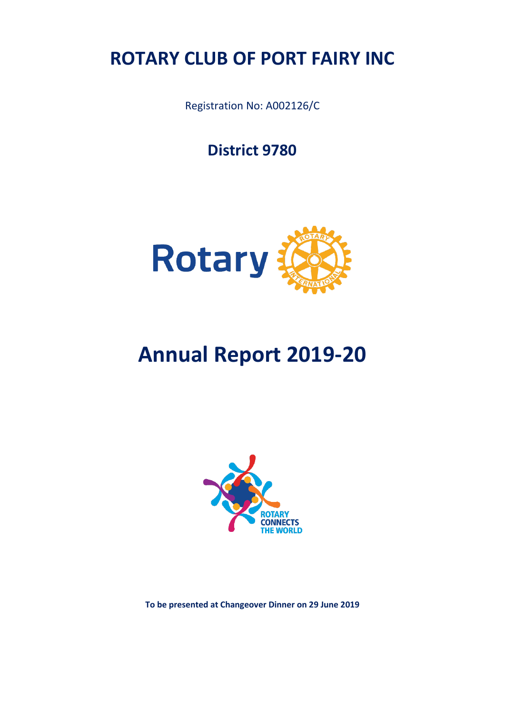## **ROTARY CLUB OF PORT FAIRY INC**

Registration No: A002126/C

**District 9780**



# **Annual Report 2019-20**



**To be presented at Changeover Dinner on 29 June 2019**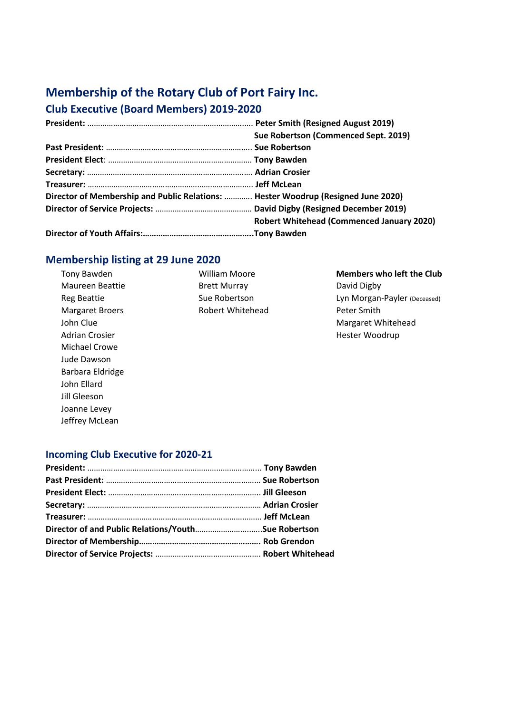## **Membership of the Rotary Club of Port Fairy Inc.**

## **Club Executive (Board Members) 2019-2020**

|                                                                                   | Sue Robertson (Commenced Sept. 2019)             |  |  |  |
|-----------------------------------------------------------------------------------|--------------------------------------------------|--|--|--|
|                                                                                   |                                                  |  |  |  |
|                                                                                   |                                                  |  |  |  |
|                                                                                   |                                                  |  |  |  |
|                                                                                   |                                                  |  |  |  |
| Director of Membership and Public Relations:  Hester Woodrup (Resigned June 2020) |                                                  |  |  |  |
|                                                                                   |                                                  |  |  |  |
|                                                                                   | <b>Robert Whitehead (Commenced January 2020)</b> |  |  |  |
|                                                                                   |                                                  |  |  |  |

## **Membership listing at 29 June 2020**

Tony Bawden Maureen Beattie Reg Beattie Margaret Broers John Clue Adrian Crosier Michael Crowe Jude Dawson Barbara Eldridge John Ellard Jill Gleeson Joanne Levey Jeffrey McLean

William Moore Brett Murray Sue Robertson Robert Whitehead **Members who left the Club** David Digby Lyn Morgan-Payler (Deceased) Peter Smith Margaret Whitehead Hester Woodrup

### **Incoming Club Executive for 2020-21**

| Director of and Public Relations/YouthSue Robertson |  |
|-----------------------------------------------------|--|
|                                                     |  |
|                                                     |  |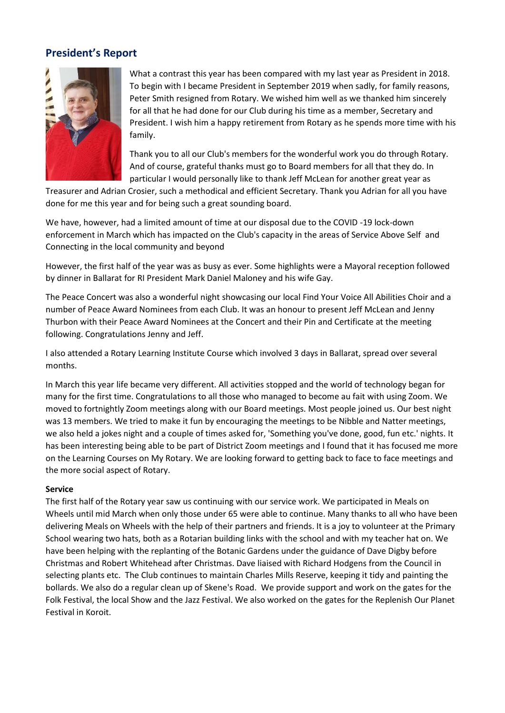## **President's Report**



What a contrast this year has been compared with my last year as President in 2018. To begin with I became President in September 2019 when sadly, for family reasons, Peter Smith resigned from Rotary. We wished him well as we thanked him sincerely for all that he had done for our Club during his time as a member, Secretary and President. I wish him a happy retirement from Rotary as he spends more time with his family.

Thank you to all our Club's members for the wonderful work you do through Rotary. And of course, grateful thanks must go to Board members for all that they do. In particular I would personally like to thank Jeff McLean for another great year as

Treasurer and Adrian Crosier, such a methodical and efficient Secretary. Thank you Adrian for all you have done for me this year and for being such a great sounding board.

We have, however, had a limited amount of time at our disposal due to the COVID -19 lock-down enforcement in March which has impacted on the Club's capacity in the areas of Service Above Self and Connecting in the local community and beyond

However, the first half of the year was as busy as ever. Some highlights were a Mayoral reception followed by dinner in Ballarat for RI President Mark Daniel Maloney and his wife Gay.

The Peace Concert was also a wonderful night showcasing our local Find Your Voice All Abilities Choir and a number of Peace Award Nominees from each Club. It was an honour to present Jeff McLean and Jenny Thurbon with their Peace Award Nominees at the Concert and their Pin and Certificate at the meeting following. Congratulations Jenny and Jeff.

I also attended a Rotary Learning Institute Course which involved 3 days in Ballarat, spread over several months.

In March this year life became very different. All activities stopped and the world of technology began for many for the first time. Congratulations to all those who managed to become au fait with using Zoom. We moved to fortnightly Zoom meetings along with our Board meetings. Most people joined us. Our best night was 13 members. We tried to make it fun by encouraging the meetings to be Nibble and Natter meetings, we also held a jokes night and a couple of times asked for, 'Something you've done, good, fun etc.' nights. It has been interesting being able to be part of District Zoom meetings and I found that it has focused me more on the Learning Courses on My Rotary. We are looking forward to getting back to face to face meetings and the more social aspect of Rotary.

#### **Service**

The first half of the Rotary year saw us continuing with our service work. We participated in Meals on Wheels until mid March when only those under 65 were able to continue. Many thanks to all who have been delivering Meals on Wheels with the help of their partners and friends. It is a joy to volunteer at the Primary School wearing two hats, both as a Rotarian building links with the school and with my teacher hat on. We have been helping with the replanting of the Botanic Gardens under the guidance of Dave Digby before Christmas and Robert Whitehead after Christmas. Dave liaised with Richard Hodgens from the Council in selecting plants etc. The Club continues to maintain Charles Mills Reserve, keeping it tidy and painting the bollards. We also do a regular clean up of Skene's Road. We provide support and work on the gates for the Folk Festival, the local Show and the Jazz Festival. We also worked on the gates for the Replenish Our Planet Festival in Koroit.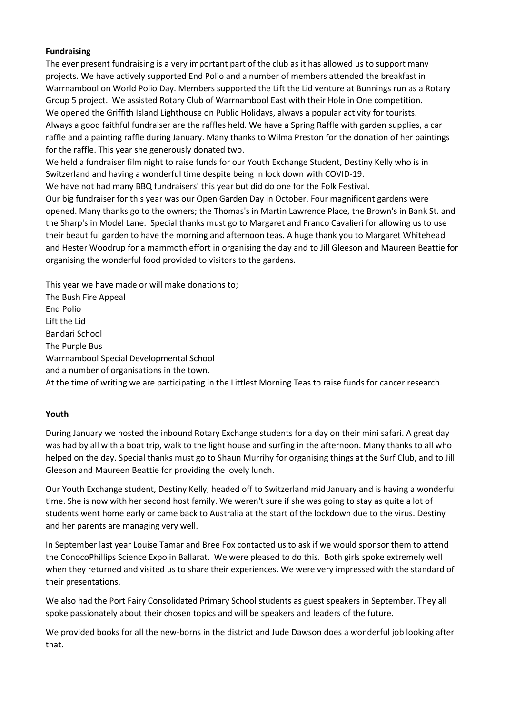#### **Fundraising**

The ever present fundraising is a very important part of the club as it has allowed us to support many projects. We have actively supported End Polio and a number of members attended the breakfast in Warrnambool on World Polio Day. Members supported the Lift the Lid venture at Bunnings run as a Rotary Group 5 project. We assisted Rotary Club of Warrnambool East with their Hole in One competition. We opened the Griffith Island Lighthouse on Public Holidays, always a popular activity for tourists. Always a good faithful fundraiser are the raffles held. We have a Spring Raffle with garden supplies, a car raffle and a painting raffle during January. Many thanks to Wilma Preston for the donation of her paintings for the raffle. This year she generously donated two.

We held a fundraiser film night to raise funds for our Youth Exchange Student, Destiny Kelly who is in Switzerland and having a wonderful time despite being in lock down with COVID-19.

We have not had many BBQ fundraisers' this year but did do one for the Folk Festival.

Our big fundraiser for this year was our Open Garden Day in October. Four magnificent gardens were opened. Many thanks go to the owners; the Thomas's in Martin Lawrence Place, the Brown's in Bank St. and the Sharp's in Model Lane. Special thanks must go to Margaret and Franco Cavalieri for allowing us to use their beautiful garden to have the morning and afternoon teas. A huge thank you to Margaret Whitehead and Hester Woodrup for a mammoth effort in organising the day and to Jill Gleeson and Maureen Beattie for organising the wonderful food provided to visitors to the gardens.

This year we have made or will make donations to; The Bush Fire Appeal End Polio Lift the Lid Bandari School The Purple Bus Warrnambool Special Developmental School and a number of organisations in the town. At the time of writing we are participating in the Littlest Morning Teas to raise funds for cancer research.

#### **Youth**

During January we hosted the inbound Rotary Exchange students for a day on their mini safari. A great day was had by all with a boat trip, walk to the light house and surfing in the afternoon. Many thanks to all who helped on the day. Special thanks must go to Shaun Murrihy for organising things at the Surf Club, and to Jill Gleeson and Maureen Beattie for providing the lovely lunch.

Our Youth Exchange student, Destiny Kelly, headed off to Switzerland mid January and is having a wonderful time. She is now with her second host family. We weren't sure if she was going to stay as quite a lot of students went home early or came back to Australia at the start of the lockdown due to the virus. Destiny and her parents are managing very well.

In September last year Louise Tamar and Bree Fox contacted us to ask if we would sponsor them to attend the ConocoPhillips Science Expo in Ballarat. We were pleased to do this. Both girls spoke extremely well when they returned and visited us to share their experiences. We were very impressed with the standard of their presentations.

We also had the Port Fairy Consolidated Primary School students as guest speakers in September. They all spoke passionately about their chosen topics and will be speakers and leaders of the future.

We provided books for all the new-borns in the district and Jude Dawson does a wonderful job looking after that.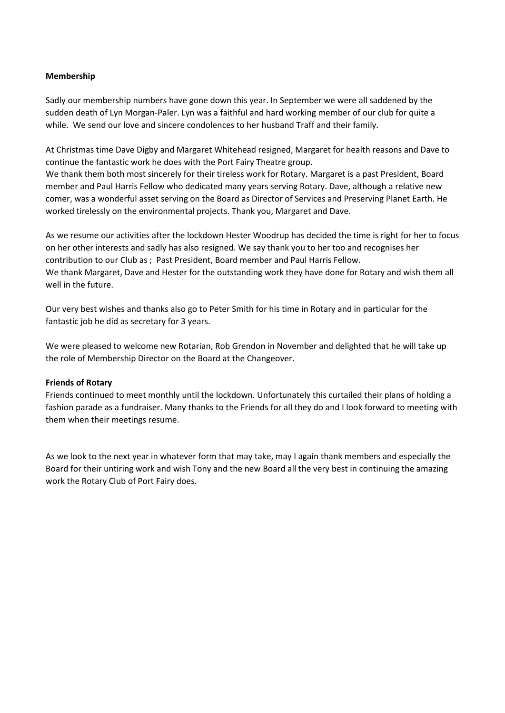#### **Membership**

Sadly our membership numbers have gone down this year. In September we were all saddened by the sudden death of Lyn Morgan-Paler. Lyn was a faithful and hard working member of our club for quite a while. We send our love and sincere condolences to her husband Traff and their family.

At Christmas time Dave Digby and Margaret Whitehead resigned, Margaret for health reasons and Dave to continue the fantastic work he does with the Port Fairy Theatre group.

We thank them both most sincerely for their tireless work for Rotary. Margaret is a past President, Board member and Paul Harris Fellow who dedicated many years serving Rotary. Dave, although a relative new comer, was a wonderful asset serving on the Board as Director of Services and Preserving Planet Earth. He worked tirelessly on the environmental projects. Thank you, Margaret and Dave.

As we resume our activities after the lockdown Hester Woodrup has decided the time is right for her to focus on her other interests and sadly has also resigned. We say thank you to her too and recognises her contribution to our Club as ; Past President, Board member and Paul Harris Fellow. We thank Margaret, Dave and Hester for the outstanding work they have done for Rotary and wish them all well in the future.

Our very best wishes and thanks also go to Peter Smith for his time in Rotary and in particular for the fantastic job he did as secretary for 3 years.

We were pleased to welcome new Rotarian, Rob Grendon in November and delighted that he will take up the role of Membership Director on the Board at the Changeover.

#### **Friends of Rotary**

Friends continued to meet monthly until the lockdown. Unfortunately this curtailed their plans of holding a fashion parade as a fundraiser. Many thanks to the Friends for all they do and I look forward to meeting with them when their meetings resume.

As we look to the next year in whatever form that may take, may I again thank members and especially the Board for their untiring work and wish Tony and the new Board all the very best in continuing the amazing work the Rotary Club of Port Fairy does.